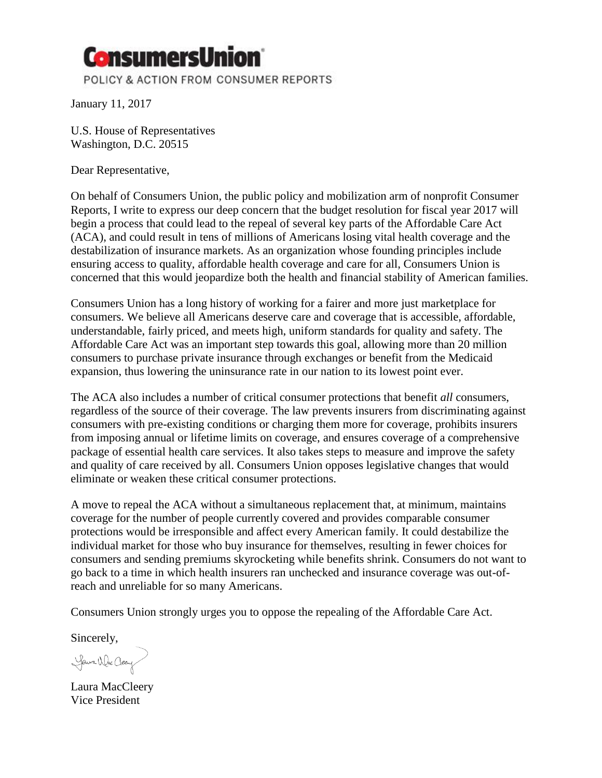

POLICY & ACTION FROM CONSUMER REPORTS

January 11, 2017

U.S. House of Representatives Washington, D.C. 20515

Dear Representative,

On behalf of Consumers Union, the public policy and mobilization arm of nonprofit Consumer Reports, I write to express our deep concern that the budget resolution for fiscal year 2017 will begin a process that could lead to the repeal of several key parts of the Affordable Care Act (ACA), and could result in tens of millions of Americans losing vital health coverage and the destabilization of insurance markets. As an organization whose founding principles include ensuring access to quality, affordable health coverage and care for all, Consumers Union is concerned that this would jeopardize both the health and financial stability of American families.

Consumers Union has a long history of working for a fairer and more just marketplace for consumers. We believe all Americans deserve care and coverage that is accessible, affordable, understandable, fairly priced, and meets high, uniform standards for quality and safety. The Affordable Care Act was an important step towards this goal, allowing more than 20 million consumers to purchase private insurance through exchanges or benefit from the Medicaid expansion, thus lowering the uninsurance rate in our nation to its lowest point ever.

The ACA also includes a number of critical consumer protections that benefit *all* consumers, regardless of the source of their coverage. The law prevents insurers from discriminating against consumers with pre-existing conditions or charging them more for coverage, prohibits insurers from imposing annual or lifetime limits on coverage, and ensures coverage of a comprehensive package of essential health care services. It also takes steps to measure and improve the safety and quality of care received by all. Consumers Union opposes legislative changes that would eliminate or weaken these critical consumer protections.

A move to repeal the ACA without a simultaneous replacement that, at minimum, maintains coverage for the number of people currently covered and provides comparable consumer protections would be irresponsible and affect every American family. It could destabilize the individual market for those who buy insurance for themselves, resulting in fewer choices for consumers and sending premiums skyrocketing while benefits shrink. Consumers do not want to go back to a time in which health insurers ran unchecked and insurance coverage was out-ofreach and unreliable for so many Americans.

Consumers Union strongly urges you to oppose the repealing of the Affordable Care Act.

Sincerely,

Your Wac Cleany

Laura MacCleery Vice President